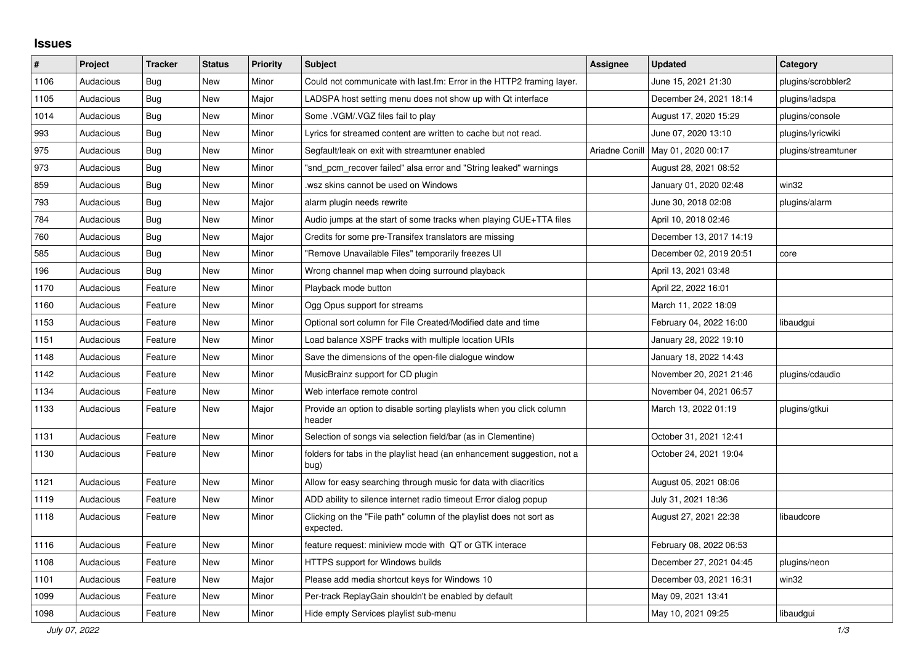## **Issues**

| #    | Project   | <b>Tracker</b> | <b>Status</b> | <b>Priority</b> | <b>Subject</b>                                                                   | <b>Assignee</b> | <b>Updated</b>          | Category            |
|------|-----------|----------------|---------------|-----------------|----------------------------------------------------------------------------------|-----------------|-------------------------|---------------------|
| 1106 | Audacious | Bug            | New           | Minor           | Could not communicate with last.fm: Error in the HTTP2 framing layer.            |                 | June 15, 2021 21:30     | plugins/scrobbler2  |
| 1105 | Audacious | Bug            | New           | Major           | LADSPA host setting menu does not show up with Qt interface                      |                 | December 24, 2021 18:14 | plugins/ladspa      |
| 1014 | Audacious | <b>Bug</b>     | <b>New</b>    | Minor           | Some .VGM/.VGZ files fail to play                                                |                 | August 17, 2020 15:29   | plugins/console     |
| 993  | Audacious | Bug            | New           | Minor           | Lyrics for streamed content are written to cache but not read.                   |                 | June 07, 2020 13:10     | plugins/lyricwiki   |
| 975  | Audacious | <b>Bug</b>     | <b>New</b>    | Minor           | Segfault/leak on exit with streamtuner enabled                                   | Ariadne Conill  | May 01, 2020 00:17      | plugins/streamtuner |
| 973  | Audacious | <b>Bug</b>     | <b>New</b>    | Minor           | "snd_pcm_recover failed" alsa error and "String leaked" warnings                 |                 | August 28, 2021 08:52   |                     |
| 859  | Audacious | <b>Bug</b>     | New           | Minor           | wsz skins cannot be used on Windows.                                             |                 | January 01, 2020 02:48  | win32               |
| 793  | Audacious | Bug            | <b>New</b>    | Major           | alarm plugin needs rewrite                                                       |                 | June 30, 2018 02:08     | plugins/alarm       |
| 784  | Audacious | Bug            | <b>New</b>    | Minor           | Audio jumps at the start of some tracks when playing CUE+TTA files               |                 | April 10, 2018 02:46    |                     |
| 760  | Audacious | <b>Bug</b>     | <b>New</b>    | Major           | Credits for some pre-Transifex translators are missing                           |                 | December 13, 2017 14:19 |                     |
| 585  | Audacious | Bug            | New           | Minor           | "Remove Unavailable Files" temporarily freezes UI                                |                 | December 02, 2019 20:51 | core                |
| 196  | Audacious | <b>Bug</b>     | <b>New</b>    | Minor           | Wrong channel map when doing surround playback                                   |                 | April 13, 2021 03:48    |                     |
| 1170 | Audacious | Feature        | <b>New</b>    | Minor           | Playback mode button                                                             |                 | April 22, 2022 16:01    |                     |
| 1160 | Audacious | Feature        | New           | Minor           | Ogg Opus support for streams                                                     |                 | March 11, 2022 18:09    |                     |
| 1153 | Audacious | Feature        | <b>New</b>    | Minor           | Optional sort column for File Created/Modified date and time                     |                 | February 04, 2022 16:00 | libaudgui           |
| 1151 | Audacious | Feature        | New           | Minor           | Load balance XSPF tracks with multiple location URIs                             |                 | January 28, 2022 19:10  |                     |
| 1148 | Audacious | Feature        | New           | Minor           | Save the dimensions of the open-file dialogue window                             |                 | January 18, 2022 14:43  |                     |
| 1142 | Audacious | Feature        | New           | Minor           | MusicBrainz support for CD plugin                                                |                 | November 20, 2021 21:46 | plugins/cdaudio     |
| 1134 | Audacious | Feature        | New           | Minor           | Web interface remote control                                                     |                 | November 04, 2021 06:57 |                     |
| 1133 | Audacious | Feature        | New           | Major           | Provide an option to disable sorting playlists when you click column<br>header   |                 | March 13, 2022 01:19    | plugins/gtkui       |
| 1131 | Audacious | Feature        | <b>New</b>    | Minor           | Selection of songs via selection field/bar (as in Clementine)                    |                 | October 31, 2021 12:41  |                     |
| 1130 | Audacious | Feature        | New           | Minor           | folders for tabs in the playlist head (an enhancement suggestion, not a<br>bug)  |                 | October 24, 2021 19:04  |                     |
| 1121 | Audacious | Feature        | New           | Minor           | Allow for easy searching through music for data with diacritics                  |                 | August 05, 2021 08:06   |                     |
| 1119 | Audacious | Feature        | New           | Minor           | ADD ability to silence internet radio timeout Error dialog popup                 |                 | July 31, 2021 18:36     |                     |
| 1118 | Audacious | Feature        | New           | Minor           | Clicking on the "File path" column of the playlist does not sort as<br>expected. |                 | August 27, 2021 22:38   | libaudcore          |
| 1116 | Audacious | Feature        | New           | Minor           | feature request: miniview mode with QT or GTK interace                           |                 | February 08, 2022 06:53 |                     |
| 1108 | Audacious | Feature        | New           | Minor           | HTTPS support for Windows builds                                                 |                 | December 27, 2021 04:45 | plugins/neon        |
| 1101 | Audacious | Feature        | New           | Major           | Please add media shortcut keys for Windows 10                                    |                 | December 03, 2021 16:31 | win32               |
| 1099 | Audacious | Feature        | New           | Minor           | Per-track ReplayGain shouldn't be enabled by default                             |                 | May 09, 2021 13:41      |                     |
| 1098 | Audacious | Feature        | New           | Minor           | Hide empty Services playlist sub-menu                                            |                 | May 10, 2021 09:25      | libaudgui           |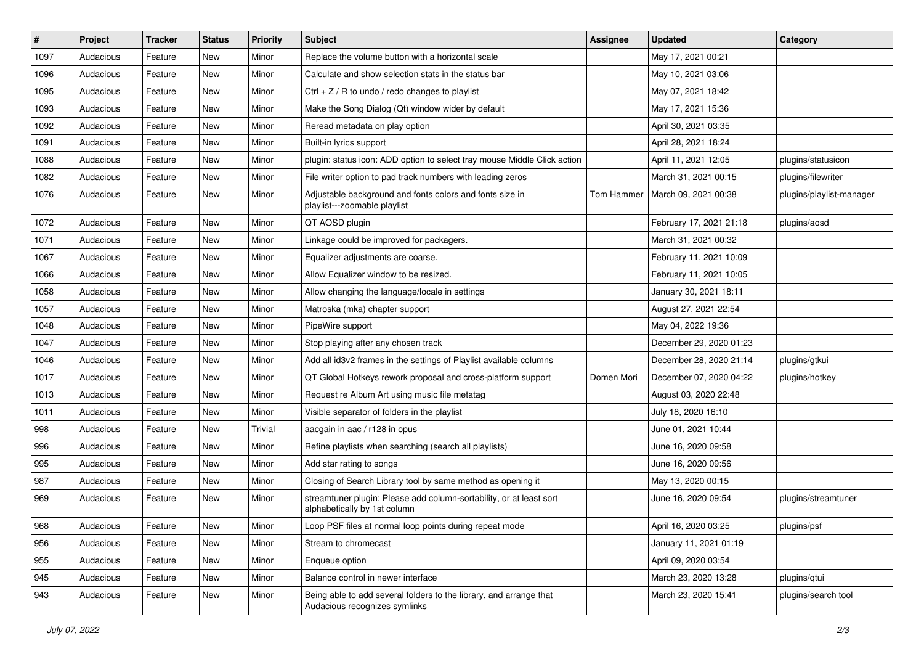| $\vert$ # | Project   | <b>Tracker</b> | <b>Status</b> | <b>Priority</b> | <b>Subject</b>                                                                                      | <b>Assignee</b> | <b>Updated</b>          | Category                 |
|-----------|-----------|----------------|---------------|-----------------|-----------------------------------------------------------------------------------------------------|-----------------|-------------------------|--------------------------|
| 1097      | Audacious | Feature        | New           | Minor           | Replace the volume button with a horizontal scale                                                   |                 | May 17, 2021 00:21      |                          |
| 1096      | Audacious | Feature        | <b>New</b>    | Minor           | Calculate and show selection stats in the status bar                                                |                 | May 10, 2021 03:06      |                          |
| 1095      | Audacious | Feature        | New           | Minor           | Ctrl $+$ Z / R to undo / redo changes to playlist                                                   |                 | May 07, 2021 18:42      |                          |
| 1093      | Audacious | Feature        | New           | Minor           | Make the Song Dialog (Qt) window wider by default                                                   |                 | May 17, 2021 15:36      |                          |
| 1092      | Audacious | Feature        | New           | Minor           | Reread metadata on play option                                                                      |                 | April 30, 2021 03:35    |                          |
| 1091      | Audacious | Feature        | New           | Minor           | Built-in lyrics support                                                                             |                 | April 28, 2021 18:24    |                          |
| 1088      | Audacious | Feature        | New           | Minor           | plugin: status icon: ADD option to select tray mouse Middle Click action                            |                 | April 11, 2021 12:05    | plugins/statusicon       |
| 1082      | Audacious | Feature        | New           | Minor           | File writer option to pad track numbers with leading zeros                                          |                 | March 31, 2021 00:15    | plugins/filewriter       |
| 1076      | Audacious | Feature        | New           | Minor           | Adjustable background and fonts colors and fonts size in<br>playlist---zoomable playlist            | Tom Hammer      | March 09, 2021 00:38    | plugins/playlist-manager |
| 1072      | Audacious | Feature        | <b>New</b>    | Minor           | QT AOSD plugin                                                                                      |                 | February 17, 2021 21:18 | plugins/aosd             |
| 1071      | Audacious | Feature        | New           | Minor           | Linkage could be improved for packagers.                                                            |                 | March 31, 2021 00:32    |                          |
| 1067      | Audacious | Feature        | New           | Minor           | Equalizer adjustments are coarse.                                                                   |                 | February 11, 2021 10:09 |                          |
| 1066      | Audacious | Feature        | New           | Minor           | Allow Equalizer window to be resized.                                                               |                 | February 11, 2021 10:05 |                          |
| 1058      | Audacious | Feature        | New           | Minor           | Allow changing the language/locale in settings                                                      |                 | January 30, 2021 18:11  |                          |
| 1057      | Audacious | Feature        | New           | Minor           | Matroska (mka) chapter support                                                                      |                 | August 27, 2021 22:54   |                          |
| 1048      | Audacious | Feature        | New           | Minor           | PipeWire support                                                                                    |                 | May 04, 2022 19:36      |                          |
| 1047      | Audacious | Feature        | New           | Minor           | Stop playing after any chosen track                                                                 |                 | December 29, 2020 01:23 |                          |
| 1046      | Audacious | Feature        | New           | Minor           | Add all id3v2 frames in the settings of Playlist available columns                                  |                 | December 28, 2020 21:14 | plugins/gtkui            |
| 1017      | Audacious | Feature        | New           | Minor           | QT Global Hotkeys rework proposal and cross-platform support                                        | Domen Mori      | December 07, 2020 04:22 | plugins/hotkey           |
| 1013      | Audacious | Feature        | New           | Minor           | Request re Album Art using music file metatag                                                       |                 | August 03, 2020 22:48   |                          |
| 1011      | Audacious | Feature        | New           | Minor           | Visible separator of folders in the playlist                                                        |                 | July 18, 2020 16:10     |                          |
| 998       | Audacious | Feature        | New           | Trivial         | aacgain in aac / r128 in opus                                                                       |                 | June 01, 2021 10:44     |                          |
| 996       | Audacious | Feature        | New           | Minor           | Refine playlists when searching (search all playlists)                                              |                 | June 16, 2020 09:58     |                          |
| 995       | Audacious | Feature        | New           | Minor           | Add star rating to songs                                                                            |                 | June 16, 2020 09:56     |                          |
| 987       | Audacious | Feature        | New           | Minor           | Closing of Search Library tool by same method as opening it                                         |                 | May 13, 2020 00:15      |                          |
| 969       | Audacious | Feature        | New           | Minor           | streamtuner plugin: Please add column-sortability, or at least sort<br>alphabetically by 1st column |                 | June 16, 2020 09:54     | plugins/streamtuner      |
| 968       | Audacious | Feature        | New           | Minor           | Loop PSF files at normal loop points during repeat mode                                             |                 | April 16, 2020 03:25    | plugins/psf              |
| 956       | Audacious | Feature        | New           | Minor           | Stream to chromecast                                                                                |                 | January 11, 2021 01:19  |                          |
| 955       | Audacious | Feature        | New           | Minor           | Enqueue option                                                                                      |                 | April 09, 2020 03:54    |                          |
| 945       | Audacious | Feature        | New           | Minor           | Balance control in newer interface                                                                  |                 | March 23, 2020 13:28    | plugins/qtui             |
| 943       | Audacious | Feature        | New           | Minor           | Being able to add several folders to the library, and arrange that<br>Audacious recognizes symlinks |                 | March 23, 2020 15:41    | plugins/search tool      |